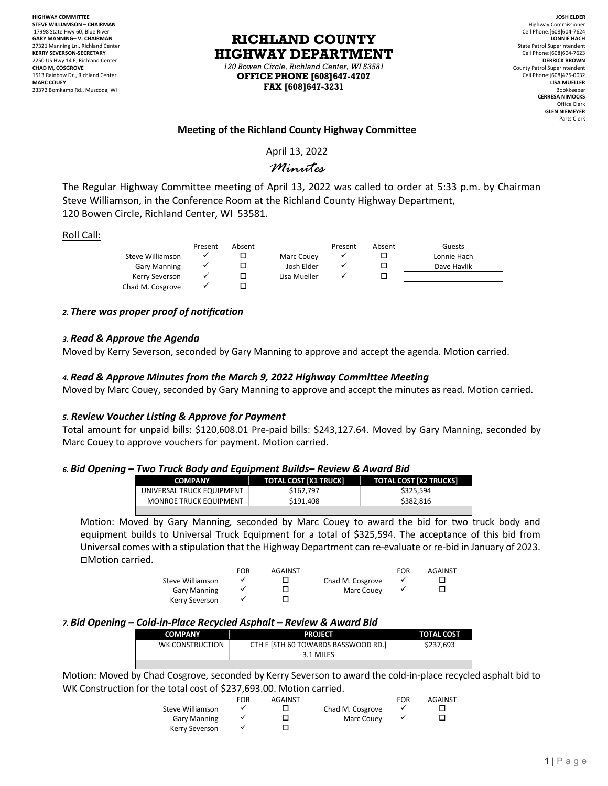**HIGHWAY COMMITTEE STEVE WILLIAMSON – CHAIRMAN** 17998 State Hwy 60, Blue River **GARY MANNING– V. CHAIRMAN** 27321 Manning Ln., Richland Center **KERRY SEVERSON-SECRETARY** 2250 US Hwy 14 E, Richland Center **CHAD M, COSGROVE** 1513 Rainbow Dr., Richland Center **MARC COUEY** 23372 Bomkamp Rd., Muscoda, WI

**RICHLAND COUNTY HIGHWAY DEPARTMENT** *120 Bowen Circle, Richland Center, WI 53581*

**OFFICE PHONE [608]647-4707 FAX [608]647-3231**

**JOSH ELDER** Highway Commissioner Cell Phone:[608]604-7624 **LONNIE HACH** State Patrol Superintendent Cell Phone:[608]604-7623 **DERRICK BROWN** County Patrol Superintendent Cell Phone:[608]475-0032 **LISA MUELLER** Bookkeeper **CERRESA NIMOCKS** Office Clerk **GLEN NIEMEYER** Parts Clerk

## **Meeting of the Richland County Highway Committee**

April 13, 2022

# *Minutes*

The Regular Highway Committee meeting of April 13, 2022 was called to order at 5:33 p.m. by Chairman Steve Williamson, in the Conference Room at the Richland County Highway Department, 120 Bowen Circle, Richland Center, WI 53581.

| Roll Call: |                       |         |        |              |         |        |             |
|------------|-----------------------|---------|--------|--------------|---------|--------|-------------|
|            |                       | Present | Absent |              | Present | Absent | Guests      |
|            | Steve Williamson      | ✓       |        | Marc Couey   |         |        | Lonnie Hach |
|            | <b>Gary Manning</b>   |         |        | Josh Elder   |         |        | Dave Havlik |
|            | <b>Kerry Severson</b> |         |        | Lisa Mueller |         |        |             |
|            | Chad M. Cosgrove      |         |        |              |         |        |             |

## *2. There was proper proof of notification*

### *3. Read & Approve the Agenda*

Moved by Kerry Severson, seconded by Gary Manning to approve and accept the agenda. Motion carried.

## *4. Read & Approve Minutes from the March 9, 2022 Highway Committee Meeting*

Moved by Marc Couey, seconded by Gary Manning to approve and accept the minutes as read. Motion carried.

### *5. Review Voucher Listing & Approve for Payment*

Total amount for unpaid bills: \$120,608.01 Pre-paid bills: \$243,127.64. Moved by Gary Manning, seconded by Marc Couey to approve vouchers for payment. Motion carried.

### *6. Bid Opening – Two Truck Body and Equipment Builds– Review & Award Bid*

| <b>COMPANY</b>                | <b>TOTAL COST [X1 TRUCK]</b> | <b>TOTAL COST [X2 TRUCKS]</b> |  |  |  |
|-------------------------------|------------------------------|-------------------------------|--|--|--|
| UNIVERSAL TRUCK EQUIPMENT     | \$162.797                    | \$325.594                     |  |  |  |
| <b>MONROE TRUCK EQUIPMENT</b> | \$191.408                    | \$382.816                     |  |  |  |
|                               |                              |                               |  |  |  |

Motion: Moved by Gary Manning*,* seconded by Marc Couey to award the bid for two truck body and equipment builds to Universal Truck Equipment for a total of \$325,594. The acceptance of this bid from Universal comes with a stipulation that the Highway Department can re-evaluate or re-bid in January of 2023. Motion carried.

|                     | FOR | <b>AGAINST</b> |                  | FOR | <b>AGAINST</b> |
|---------------------|-----|----------------|------------------|-----|----------------|
| Steve Williamson    |     |                | Chad M. Cosgrove |     |                |
| <b>Gary Manning</b> |     |                | Marc Couev       |     |                |
| Kerry Severson      |     |                |                  |     |                |

### *7. Bid Opening – Cold-in-Place Recycled Asphalt – Review & Award Bid*

| <b>COMPANY</b>  | <b>PROJECT</b>                      | <b>TOTAL COST</b> |
|-----------------|-------------------------------------|-------------------|
| WK CONSTRUCTION | CTH E [STH 60 TOWARDS BASSWOOD RD.] | \$237.693         |
|                 | 3.1 MILES                           |                   |

Motion: Moved by Chad Cosgrove*,* seconded by Kerry Severson to award the cold-in-place recycled asphalt bid to WK Construction for the total cost of \$237,693.00. Motion carried.

|                     | <b>FOR</b> | <b>AGAINST</b> |                  | FOR | <b>AGAINST</b> |
|---------------------|------------|----------------|------------------|-----|----------------|
| Steve Williamson    |            |                | Chad M. Cosgrove |     |                |
| <b>Gary Manning</b> |            |                | Marc Couev       |     |                |
| Kerry Severson      |            |                |                  |     |                |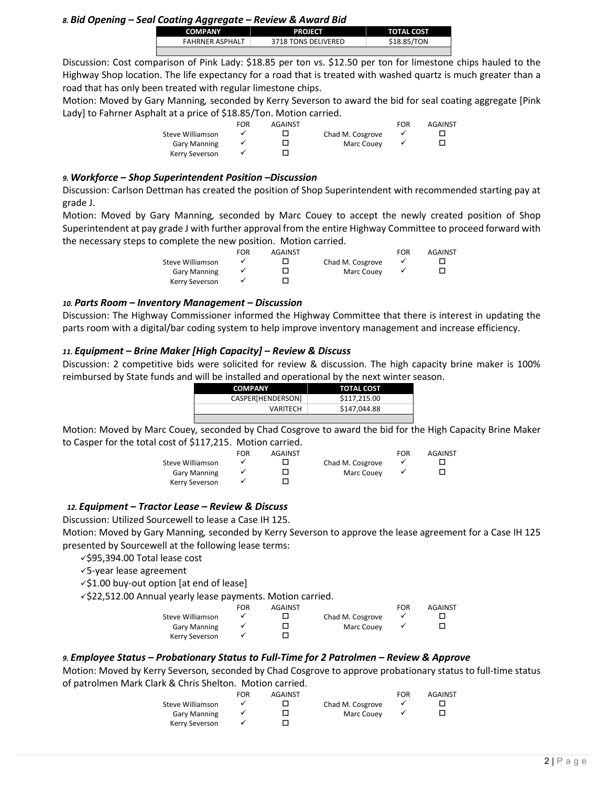*8. Bid Opening – Seal Coating Aggregate – Review & Award Bid*

| <b>COMPANY</b>         | <b>PROJECT</b>      | <b>TOTAL COST</b> |
|------------------------|---------------------|-------------------|
| <b>FAHRNER ASPHALT</b> | 3718 TONS DELIVERED | \$18.85/TON       |

Discussion: Cost comparison of Pink Lady: \$18.85 per ton vs. \$12.50 per ton for limestone chips hauled to the Highway Shop location. The life expectancy for a road that is treated with washed quartz is much greater than a road that has only been treated with regular limestone chips.

Motion: Moved by Gary Manning*,* seconded by Kerry Severson to award the bid for seal coating aggregate [Pink Lady] to Fahrner Asphalt at a price of \$18.85/Ton. Motion carried.

|                     | FOR | <b>AGAINST</b> |                  | FOR | AGAINST |
|---------------------|-----|----------------|------------------|-----|---------|
| Steve Williamson    |     |                | Chad M. Cosgrove |     |         |
| <b>Gary Manning</b> |     |                | Marc Couev       |     |         |
| Kerry Severson      |     |                |                  |     |         |
|                     |     |                |                  |     |         |

## *9. Workforce – Shop Superintendent Position –Discussion*

Discussion: Carlson Dettman has created the position of Shop Superintendent with recommended starting pay at grade J.

Motion: Moved by Gary Manning*,* seconded by Marc Couey to accept the newly created position of Shop Superintendent at pay grade J with further approval from the entire Highway Committee to proceed forward with the necessary steps to complete the new position. Motion carried.

|                     | FOR | AGAINST |                  | FOR | AGAINST |
|---------------------|-----|---------|------------------|-----|---------|
| Steve Williamson    |     |         | Chad M. Cosgrove |     |         |
| <b>Gary Manning</b> |     |         | Marc Couev       |     |         |
| Kerry Severson      |     |         |                  |     |         |

### *10. Parts Room – Inventory Management – Discussion*

Discussion: The Highway Commissioner informed the Highway Committee that there is interest in updating the parts room with a digital/bar coding system to help improve inventory management and increase efficiency.

## *11. Equipment – Brine Maker [High Capacity] – Review & Discuss*

Discussion: 2 competitive bids were solicited for review & discussion. The high capacity brine maker is 100% reimbursed by State funds and will be installed and operational by the next winter season.

| <b>COMPANY</b>    | <b>TOTAL COST</b> |
|-------------------|-------------------|
| CASPER[HENDERSON] | \$117.215.00      |
| VARITECH          | \$147,044.88      |
|                   |                   |

Motion: Moved by Marc Couey*,* seconded by Chad Cosgrove to award the bid for the High Capacity Brine Maker to Casper for the total cost of \$117,215. Motion carried.

|                     | FOR | AGAINST |                  | FOR | <b>AGAINST</b> |
|---------------------|-----|---------|------------------|-----|----------------|
| Steve Williamson    |     |         | Chad M. Cosgrove |     |                |
| <b>Gary Manning</b> |     |         | Marc Couev       |     |                |
| Kerry Severson      |     |         |                  |     |                |

### *12. Equipment – Tractor Lease – Review & Discuss*

Discussion: Utilized Sourcewell to lease a Case IH 125.

Motion: Moved by Gary Manning*,* seconded by Kerry Severson to approve the lease agreement for a Case IH 125 presented by Sourcewell at the following lease terms:

\$95,394.00 Total lease cost

5-year lease agreement

 $\checkmark$ \$1.00 buy-out option [at end of lease]

 $\checkmark$ \$22,512.00 Annual yearly lease payments. Motion carried.

|                     | <b>FOR</b> | <b>AGAINST</b> |                  | FOR | AGAINST |
|---------------------|------------|----------------|------------------|-----|---------|
| Steve Williamson    |            |                | Chad M. Cosgrove |     |         |
| <b>Gary Manning</b> |            |                | Marc Couev       |     |         |
| Kerry Severson      |            |                |                  |     |         |

## *9. Employee Status – Probationary Status to Full-Time for 2 Patrolmen – Review & Approve*

Motion: Moved by Kerry Severson*,* seconded by Chad Cosgrove to approve probationary status to full-time status of patrolmen Mark Clark & Chris Shelton.Motion carried.

|                     | FOR | <b>AGAINST</b> |                  | FOR | <b>AGAINST</b> |
|---------------------|-----|----------------|------------------|-----|----------------|
| Steve Williamson    |     |                | Chad M. Cosgrove |     |                |
| <b>Gary Manning</b> |     |                | Marc Couey       |     |                |
| Kerry Severson      |     |                |                  |     |                |